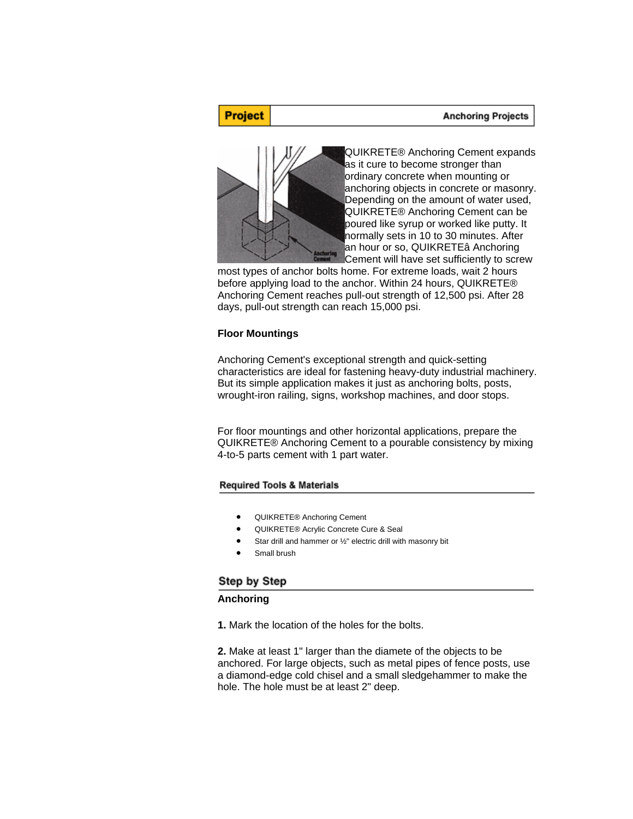#### **Anchoring Projects**

# **Project**



QUIKRETE® Anchoring Cement expands as it cure to become stronger than ordinary concrete when mounting or anchoring objects in concrete or masonry. Depending on the amount of water used, QUIKRETE® Anchoring Cement can be poured like syrup or worked like putty. It normally sets in 10 to 30 minutes. After an hour or so, QUIKRETEâ Anchoring **Cement will have set sufficiently to screw** 

most types of anchor bolts home. For extreme loads, wait 2 hours before applying load to the anchor. Within 24 hours, QUIKRETE® Anchoring Cement reaches pull-out strength of 12,500 psi. After 28 days, pull-out strength can reach 15,000 psi.

## **Floor Mountings**

Anchoring Cement's exceptional strength and quick-setting characteristics are ideal for fastening heavy-duty industrial machinery. But its simple application makes it just as anchoring bolts, posts, wrought-iron railing, signs, workshop machines, and door stops.

For floor mountings and other horizontal applications, prepare the QUIKRETE® Anchoring Cement to a pourable consistency by mixing 4-to-5 parts cement with 1 part water.

#### **Required Tools & Materials**

- QUIKRETE® Anchoring Cement
- QUIKRETE® Acrylic Concrete Cure & Seal
- Star drill and hammer or ½" electric drill with masonry bit
- Small brush

# Step by Step

#### **Anchoring**

**1.** Mark the location of the holes for the bolts.

**2.** Make at least 1" larger than the diamete of the objects to be anchored. For large objects, such as metal pipes of fence posts, use a diamond-edge cold chisel and a small sledgehammer to make the hole. The hole must be at least 2" deep.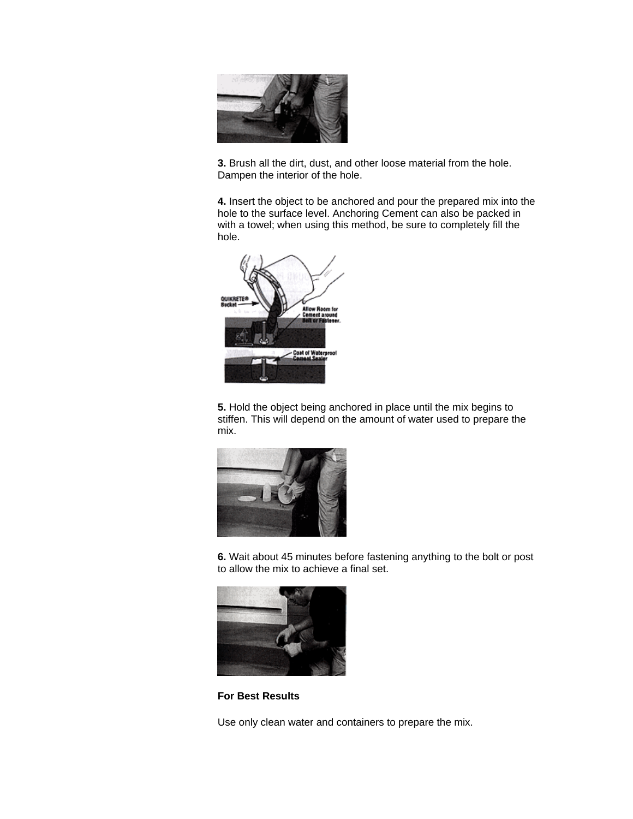

**3.** Brush all the dirt, dust, and other loose material from the hole. Dampen the interior of the hole.

**4.** Insert the object to be anchored and pour the prepared mix into the hole to the surface level. Anchoring Cement can also be packed in with a towel; when using this method, be sure to completely fill the hole.



**5.** Hold the object being anchored in place until the mix begins to stiffen. This will depend on the amount of water used to prepare the mix.



**6.** Wait about 45 minutes before fastening anything to the bolt or post to allow the mix to achieve a final set.



**For Best Results** 

Use only clean water and containers to prepare the mix.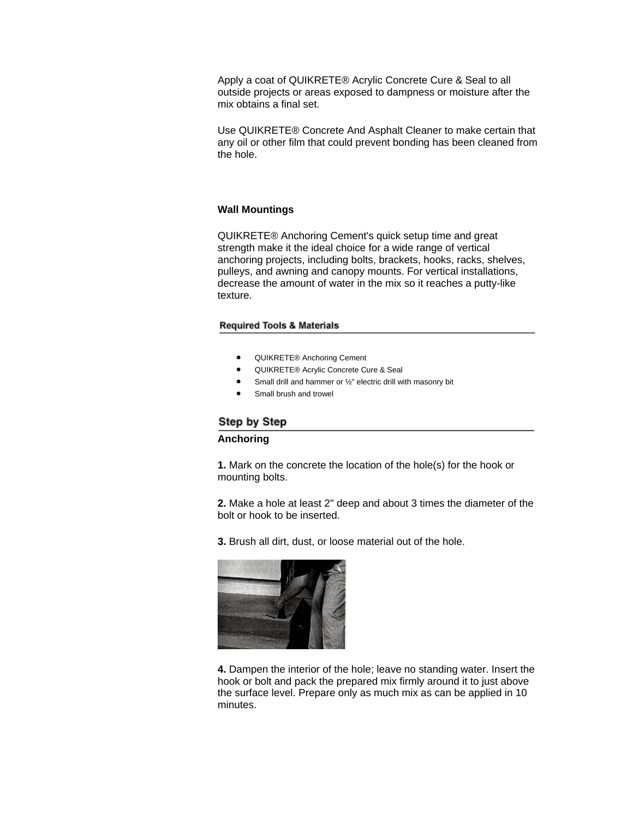Apply a coat of QUIKRETE® Acrylic Concrete Cure & Seal to all outside projects or areas exposed to dampness or moisture after the mix obtains a final set.

Use QUIKRETE® Concrete And Asphalt Cleaner to make certain that any oil or other film that could prevent bonding has been cleaned from the hole.

## **Wall Mountings**

QUIKRETE® Anchoring Cement's quick setup time and great strength make it the ideal choice for a wide range of vertical anchoring projects, including bolts, brackets, hooks, racks, shelves, pulleys, and awning and canopy mounts. For vertical installations, decrease the amount of water in the mix so it reaches a putty-like texture.

#### **Required Tools & Materials**

- QUIKRETE® Anchoring Cement
- QUIKRETE® Acrylic Concrete Cure & Seal
- Small drill and hammer or 1/2" electric drill with masonry bit
- Small brush and trowel

# Step by Step

## **Anchoring**

**1.** Mark on the concrete the location of the hole(s) for the hook or mounting bolts.

**2.** Make a hole at least 2" deep and about 3 times the diameter of the bolt or hook to be inserted.

**3.** Brush all dirt, dust, or loose material out of the hole.



**4.** Dampen the interior of the hole; leave no standing water. Insert the hook or bolt and pack the prepared mix firmly around it to just above the surface level. Prepare only as much mix as can be applied in 10 minutes.